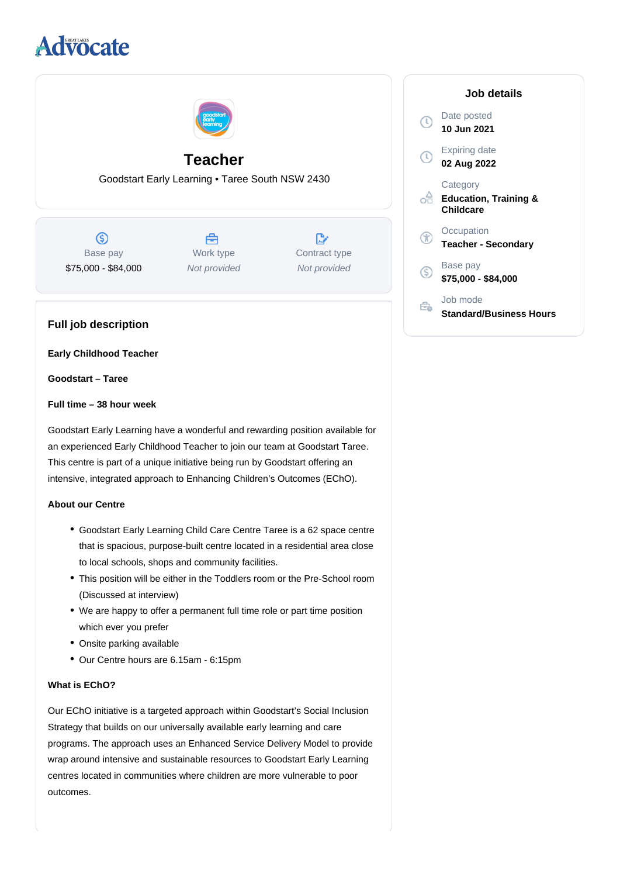# **Advocate**



## **Teacher**

Goodstart Early Learning • Taree South NSW 2430

 $\circledS$ Base pay \$75,000 - \$84,000

Å Work type Not provided

 $\mathbb{R}^n$ Contract type Not provided

## **Full job description**

**Early Childhood Teacher**

**Goodstart – Taree**

#### **Full time – 38 hour week**

Goodstart Early Learning have a wonderful and rewarding position available for an experienced Early Childhood Teacher to join our team at Goodstart Taree. This centre is part of a unique initiative being run by Goodstart offering an intensive, integrated approach to Enhancing Children's Outcomes (EChO).

#### **About our Centre**

- Goodstart Early Learning Child Care Centre Taree is a 62 space centre that is spacious, purpose-built centre located in a residential area close to local schools, shops and community facilities.
- This position will be either in the Toddlers room or the Pre-School room (Discussed at interview)
- We are happy to offer a permanent full time role or part time position which ever you prefer
- Onsite parking available
- Our Centre hours are 6.15am 6:15pm

#### **What is EChO?**

Our EChO initiative is a targeted approach within Goodstart's Social Inclusion Strategy that builds on our universally available early learning and care programs. The approach uses an Enhanced Service Delivery Model to provide wrap around intensive and sustainable resources to Goodstart Early Learning centres located in communities where children are more vulnerable to poor outcomes.

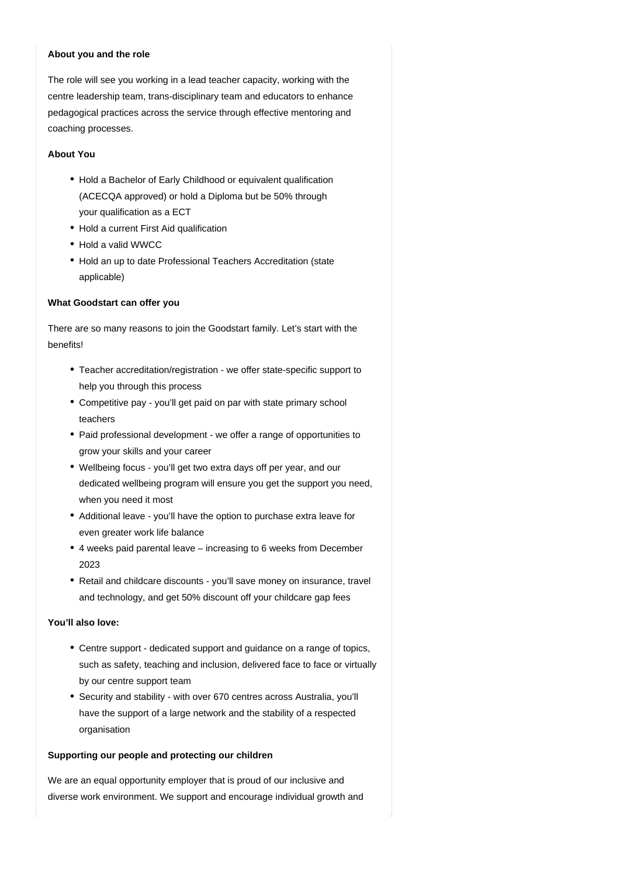#### **About you and the role**

The role will see you working in a lead teacher capacity, working with the centre leadership team, trans-disciplinary team and educators to enhance pedagogical practices across the service through effective mentoring and coaching processes.

## **About You**

- Hold a Bachelor of Early Childhood or equivalent qualification (ACECQA approved) or hold a Diploma but be 50% through your qualification as a ECT
- Hold a current First Aid qualification
- Hold a valid WWCC
- Hold an up to date Professional Teachers Accreditation (state applicable)

### **What Goodstart can offer you**

There are so many reasons to join the Goodstart family. Let's start with the benefits!

- Teacher accreditation/registration we offer state-specific support to help you through this process
- Competitive pay you'll get paid on par with state primary school teachers
- Paid professional development we offer a range of opportunities to grow your skills and your career
- Wellbeing focus you'll get two extra days off per year, and our dedicated wellbeing program will ensure you get the support you need, when you need it most
- Additional leave you'll have the option to purchase extra leave for even greater work life balance
- 4 weeks paid parental leave increasing to 6 weeks from December 2023
- Retail and childcare discounts you'll save money on insurance, travel and technology, and get 50% discount off your childcare gap fees

## **You'll also love:**

- Centre support dedicated support and guidance on a range of topics, such as safety, teaching and inclusion, delivered face to face or virtually by our centre support team
- Security and stability with over 670 centres across Australia, you'll have the support of a large network and the stability of a respected organisation

## **Supporting our people and protecting our children**

We are an equal opportunity employer that is proud of our inclusive and diverse work environment. We support and encourage individual growth and